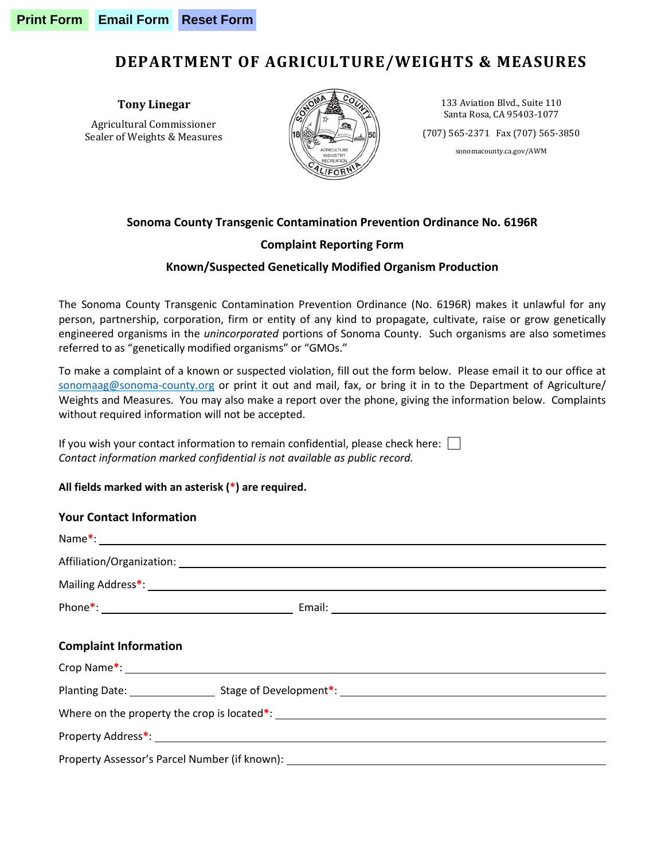## **DEPARTMENT OF AGRICULTURE/WEIGHTS & MEASURES**

**Tony Linegar**

Agricultural Commissioner Sealer of Weights & Measures



133 Aviation Blvd., Suite 110 Santa Rosa, CA 95403-1077

(707) 565-2371 Fax (707) 565-3850

sonomacounty.ca.gov/AWM

# **Sonoma County Transgenic Contamination Prevention Ordinance No. 6196R**

### **Complaint Reporting Form**

#### **Known/Suspected Genetically Modified Organism Production**

The Sonoma County Transgenic Contamination Prevention Ordinance (No. 6196R) makes it unlawful for any person, partnership, corporation, firm or entity of any kind to propagate, cultivate, raise or grow genetically engineered organisms in the *unincorporated* portions of Sonoma County. Such organisms are also sometimes referred to as "genetically modified organisms" or "GMOs."

To make a complaint of a known or suspected violation, fill out the form below. Please email it to our office at [sonomaag@sonoma-county.org](mailto:sonomaag@sonoma-county.org) or print it out and mail, fax, or bring it in to the Department of Agriculture/ Weights and Measures. You may also make a report over the phone, giving the information below. Complaints without required information will not be accepted.

If you wish your contact information to remain confidential, please check here: *Contact information marked confidential is not available as public record.*

#### **All fields marked with an asterisk (\*) are required.**

| <b>Your Contact Information</b>                                                                                                                                                                                                |  |  |  |
|--------------------------------------------------------------------------------------------------------------------------------------------------------------------------------------------------------------------------------|--|--|--|
| Name*: 2008. All 2008. The contract of the contract of the contract of the contract of the contract of the contract of the contract of the contract of the contract of the contract of the contract of the contract of the con |  |  |  |
|                                                                                                                                                                                                                                |  |  |  |
|                                                                                                                                                                                                                                |  |  |  |
|                                                                                                                                                                                                                                |  |  |  |
|                                                                                                                                                                                                                                |  |  |  |
| <b>Complaint Information</b>                                                                                                                                                                                                   |  |  |  |
|                                                                                                                                                                                                                                |  |  |  |
|                                                                                                                                                                                                                                |  |  |  |
|                                                                                                                                                                                                                                |  |  |  |
|                                                                                                                                                                                                                                |  |  |  |
| Property Assessor's Parcel Number (if known): ___________________________________                                                                                                                                              |  |  |  |